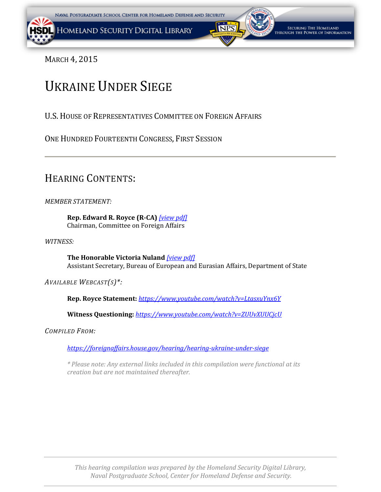<span id="page-0-0"></span>

MARCH 4, 2015

## UKRAINE UNDER SIEGE

U.S.HOUSE OF REPRESENTATIVES COMMITTEE ON FOREIGN AFFAIRS

ONE HUNDRED FOURTEENTH CONGRESS, FIRST SESSION

## HEARING CONTENTS:

*MEMBER STATEMENT:*

**Rep. Edward R. Royce (R-CA)** *[\[view pdf\]](#page-0-0)* Chairman, Committee on Foreign Affairs

*WITNESS:*

**The Honorable Victoria Nuland** *[\[view pdf\]](#page-0-0)* Assistant Secretary, Bureau of European and Eurasian Affairs, Department of State

*AVAILABLE WEBCAST(S)\*:*

**Rep. Royce Statement:** *<https://www.youtube.com/watch?v=LtasxuYnx6Y>*

**Witness Questioning:** *<https://www.youtube.com/watch?v=ZUUvXUUCjcU>*

*COMPILED FROM:*

*<https://foreignaffairs.house.gov/hearing/hearing-ukraine-under-siege>*

*\* Please note: Any external links included in this compilation were functional at its creation but are not maintained thereafter.*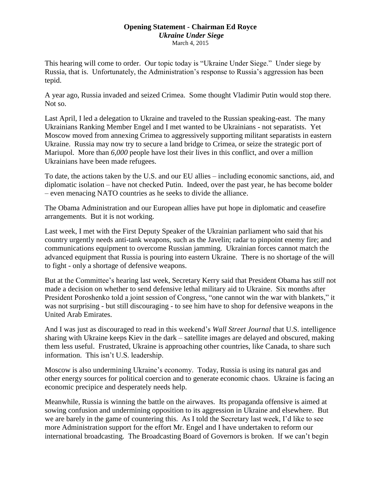## **Opening Statement - Chairman Ed Royce** *Ukraine Under Siege* March 4, 2015

<span id="page-1-0"></span>This hearing will come to order. Our topic today is "Ukraine Under Siege." Under siege by Russia, that is. Unfortunately, the Administration's response to Russia's aggression has been tepid.

A year ago, Russia invaded and seized Crimea. Some thought Vladimir Putin would stop there. Not so.

Last April, I led a delegation to Ukraine and traveled to the Russian speaking-east. The many Ukrainians Ranking Member Engel and I met wanted to be Ukrainians - not separatists. Yet Moscow moved from annexing Crimea to aggressively supporting militant separatists in eastern Ukraine. Russia may now try to secure a land bridge to Crimea, or seize the strategic port of Mariupol. More than *6,000* people have lost their lives in this conflict, and over a million Ukrainians have been made refugees.

To date, the actions taken by the U.S. and our EU allies – including economic sanctions, aid, and diplomatic isolation – have not checked Putin. Indeed, over the past year, he has become bolder – even menacing NATO countries as he seeks to divide the alliance.

The Obama Administration and our European allies have put hope in diplomatic and ceasefire arrangements. But it is not working.

Last week, I met with the First Deputy Speaker of the Ukrainian parliament who said that his country urgently needs anti-tank weapons, such as the Javelin; radar to pinpoint enemy fire; and communications equipment to overcome Russian jamming. Ukrainian forces cannot match the advanced equipment that Russia is pouring into eastern Ukraine. There is no shortage of the will to fight - only a shortage of defensive weapons.

But at the Committee's hearing last week, Secretary Kerry said that President Obama has *still* not made a decision on whether to send defensive lethal military aid to Ukraine. Six months after President Poroshenko told a joint session of Congress, "one cannot win the war with blankets," it was not surprising - but still discouraging - to see him have to shop for defensive weapons in the United Arab Emirates.

And I was just as discouraged to read in this weekend's *Wall Street Journal* that U.S. intelligence sharing with Ukraine keeps Kiev in the dark – satellite images are delayed and obscured, making them less useful. Frustrated, Ukraine is approaching other countries, like Canada, to share such information. This isn't U.S. leadership.

Moscow is also undermining Ukraine's economy. Today, Russia is using its natural gas and other energy sources for political coercion and to generate economic chaos. Ukraine is facing an economic precipice and desperately needs help.

Meanwhile, Russia is winning the battle on the airwaves. Its propaganda offensive is aimed at sowing confusion and undermining opposition to its aggression in Ukraine and elsewhere. But we are barely in the game of countering this. As I told the Secretary last week, I'd like to see more Administration support for the effort Mr. Engel and I have undertaken to reform our international broadcasting. The Broadcasting Board of Governors is broken. If we can't begin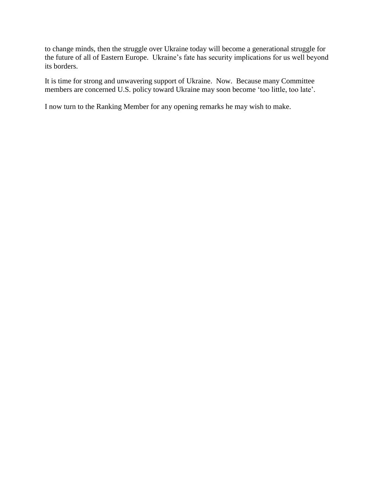to change minds, then the struggle over Ukraine today will become a generational struggle for the future of all of Eastern Europe. Ukraine's fate has security implications for us well beyond its borders.

It is time for strong and unwavering support of Ukraine. Now. Because many Committee members are concerned U.S. policy toward Ukraine may soon become 'too little, too late'.

I now turn to the Ranking Member for any opening remarks he may wish to make.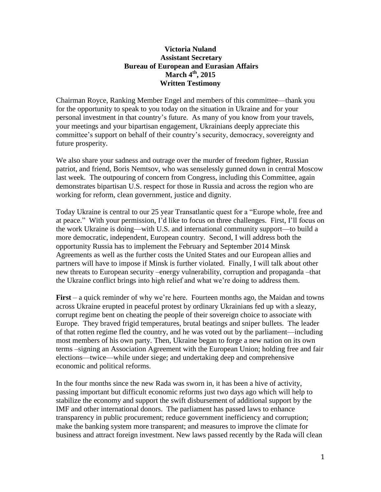## **Victoria Nuland Assistant Secretary Bureau of European and Eurasian Affairs March 4th, 2015 Written Testimony**

<span id="page-3-0"></span>Chairman Royce, Ranking Member Engel and members of this committee—thank you for the opportunity to speak to you today on the situation in Ukraine and for your personal investment in that country's future. As many of you know from your travels, your meetings and your bipartisan engagement, Ukrainians deeply appreciate this committee's support on behalf of their country's security, democracy, sovereignty and future prosperity.

We also share your sadness and outrage over the murder of freedom fighter, Russian patriot, and friend, Boris Nemtsov, who was senselessly gunned down in central Moscow last week. The outpouring of concern from Congress, including this Committee, again demonstrates bipartisan U.S. respect for those in Russia and across the region who are working for reform, clean government, justice and dignity.

Today Ukraine is central to our 25 year Transatlantic quest for a "Europe whole, free and at peace." With your permission, I'd like to focus on three challenges. First, I'll focus on the work Ukraine is doing—with U.S. and international community support—to build a more democratic, independent, European country. Second, I will address both the opportunity Russia has to implement the February and September 2014 Minsk Agreements as well as the further costs the United States and our European allies and partners will have to impose if Minsk is further violated. Finally, I will talk about other new threats to European security –energy vulnerability, corruption and propaganda –that the Ukraine conflict brings into high relief and what we're doing to address them.

**First** – a quick reminder of why we're here. Fourteen months ago, the Maidan and towns across Ukraine erupted in peaceful protest by ordinary Ukrainians fed up with a sleazy, corrupt regime bent on cheating the people of their sovereign choice to associate with Europe. They braved frigid temperatures, brutal beatings and sniper bullets. The leader of that rotten regime fled the country, and he was voted out by the parliament—including most members of his own party. Then, Ukraine began to forge a new nation on its own terms –signing an Association Agreement with the European Union; holding free and fair elections—twice—while under siege; and undertaking deep and comprehensive economic and political reforms.

In the four months since the new Rada was sworn in, it has been a hive of activity, passing important but difficult economic reforms just two days ago which will help to stabilize the economy and support the swift disbursement of additional support by the IMF and other international donors. The parliament has passed laws to enhance transparency in public procurement; reduce government inefficiency and corruption; make the banking system more transparent; and measures to improve the climate for business and attract foreign investment. New laws passed recently by the Rada will clean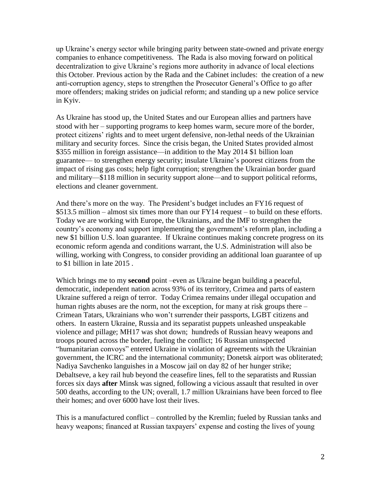up Ukraine's energy sector while bringing parity between state-owned and private energy companies to enhance competitiveness. The Rada is also moving forward on political decentralization to give Ukraine's regions more authority in advance of local elections this October. Previous action by the Rada and the Cabinet includes: the creation of a new anti-corruption agency, steps to strengthen the Prosecutor General's Office to go after more offenders; making strides on judicial reform; and standing up a new police service in Kyiv.

As Ukraine has stood up, the United States and our European allies and partners have stood with her – supporting programs to keep homes warm, secure more of the border, protect citizens' rights and to meet urgent defensive, non-lethal needs of the Ukrainian military and security forces. Since the crisis began, the United States provided almost \$355 million in foreign assistance—in addition to the May 2014 \$1 billion loan guarantee— to strengthen energy security; insulate Ukraine's poorest citizens from the impact of rising gas costs; help fight corruption; strengthen the Ukrainian border guard and military—\$118 million in security support alone—and to support political reforms, elections and cleaner government.

And there's more on the way. The President's budget includes an FY16 request of \$513.5 million – almost six times more than our FY14 request – to build on these efforts. Today we are working with Europe, the Ukrainians, and the IMF to strengthen the country's economy and support implementing the government's reform plan, including a new \$1 billion U.S. loan guarantee. If Ukraine continues making concrete progress on its economic reform agenda and conditions warrant, the U.S. Administration will also be willing, working with Congress, to consider providing an additional loan guarantee of up to \$1 billion in late 2015 .

Which brings me to my **second** point –even as Ukraine began building a peaceful, democratic, independent nation across 93% of its territory, Crimea and parts of eastern Ukraine suffered a reign of terror. Today Crimea remains under illegal occupation and human rights abuses are the norm, not the exception, for many at risk groups there – Crimean Tatars, Ukrainians who won't surrender their passports, LGBT citizens and others. In eastern Ukraine, Russia and its separatist puppets unleashed unspeakable violence and pillage; MH17 was shot down; hundreds of Russian heavy weapons and troops poured across the border, fueling the conflict; 16 Russian uninspected "humanitarian convoys" entered Ukraine in violation of agreements with the Ukrainian government, the ICRC and the international community; Donetsk airport was obliterated; Nadiya Savchenko languishes in a Moscow jail on day 82 of her hunger strike; Debaltseve, a key rail hub beyond the ceasefire lines, fell to the separatists and Russian forces six days **after** Minsk was signed, following a vicious assault that resulted in over 500 deaths, according to the UN; overall, 1.7 million Ukrainians have been forced to flee their homes; and over 6000 have lost their lives.

This is a manufactured conflict – controlled by the Kremlin; fueled by Russian tanks and heavy weapons; financed at Russian taxpayers' expense and costing the lives of young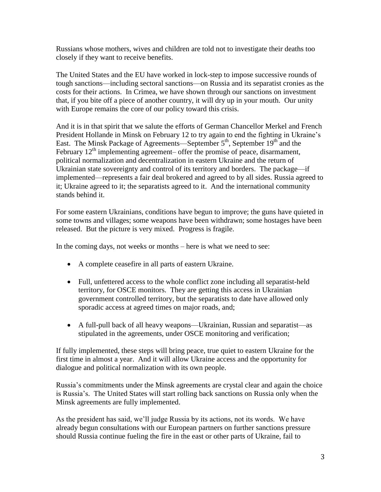Russians whose mothers, wives and children are told not to investigate their deaths too closely if they want to receive benefits.

The United States and the EU have worked in lock-step to impose successive rounds of tough sanctions—including sectoral sanctions—on Russia and its separatist cronies as the costs for their actions. In Crimea, we have shown through our sanctions on investment that, if you bite off a piece of another country, it will dry up in your mouth. Our unity with Europe remains the core of our policy toward this crisis.

And it is in that spirit that we salute the efforts of German Chancellor Merkel and French President Hollande in Minsk on February 12 to try again to end the fighting in Ukraine's East. The Minsk Package of Agreements—September  $5<sup>th</sup>$ , September  $19<sup>th</sup>$  and the February  $12<sup>th</sup>$  implementing agreement– offer the promise of peace, disarmament, political normalization and decentralization in eastern Ukraine and the return of Ukrainian state sovereignty and control of its territory and borders. The package—if implemented—represents a fair deal brokered and agreed to by all sides. Russia agreed to it; Ukraine agreed to it; the separatists agreed to it. And the international community stands behind it.

For some eastern Ukrainians, conditions have begun to improve; the guns have quieted in some towns and villages; some weapons have been withdrawn; some hostages have been released. But the picture is very mixed. Progress is fragile.

In the coming days, not weeks or months – here is what we need to see:

- A complete ceasefire in all parts of eastern Ukraine.
- Full, unfettered access to the whole conflict zone including all separatist-held territory, for OSCE monitors. They are getting this access in Ukrainian government controlled territory, but the separatists to date have allowed only sporadic access at agreed times on major roads, and;
- A full-pull back of all heavy weapons—Ukrainian, Russian and separatist—as stipulated in the agreements, under OSCE monitoring and verification;

If fully implemented, these steps will bring peace, true quiet to eastern Ukraine for the first time in almost a year. And it will allow Ukraine access and the opportunity for dialogue and political normalization with its own people.

Russia's commitments under the Minsk agreements are crystal clear and again the choice is Russia's. The United States will start rolling back sanctions on Russia only when the Minsk agreements are fully implemented.

As the president has said, we'll judge Russia by its actions, not its words. We have already begun consultations with our European partners on further sanctions pressure should Russia continue fueling the fire in the east or other parts of Ukraine, fail to